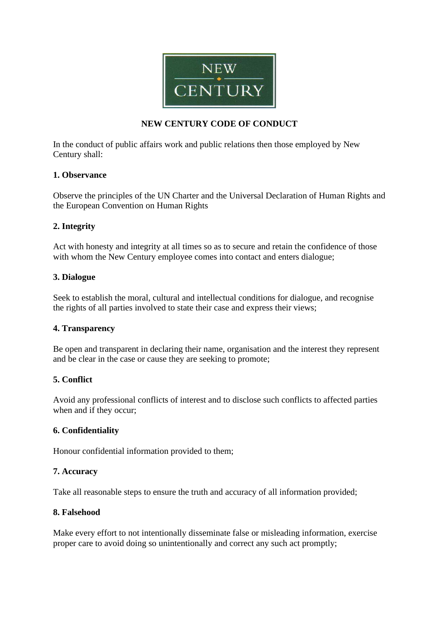

## **NEW CENTURY CODE OF CONDUCT**

In the conduct of public affairs work and public relations then those employed by New Century shall:

## **1. Observance**

Observe the principles of the UN Charter and the Universal Declaration of Human Rights and the European Convention on Human Rights

# **2. Integrity**

Act with honesty and integrity at all times so as to secure and retain the confidence of those with whom the New Century employee comes into contact and enters dialogue;

## **3. Dialogue**

Seek to establish the moral, cultural and intellectual conditions for dialogue, and recognise the rights of all parties involved to state their case and express their views;

## **4. Transparency**

Be open and transparent in declaring their name, organisation and the interest they represent and be clear in the case or cause they are seeking to promote;

## **5. Conflict**

Avoid any professional conflicts of interest and to disclose such conflicts to affected parties when and if they occur;

## **6. Confidentiality**

Honour confidential information provided to them;

## **7. Accuracy**

Take all reasonable steps to ensure the truth and accuracy of all information provided;

#### **8. Falsehood**

Make every effort to not intentionally disseminate false or misleading information, exercise proper care to avoid doing so unintentionally and correct any such act promptly;